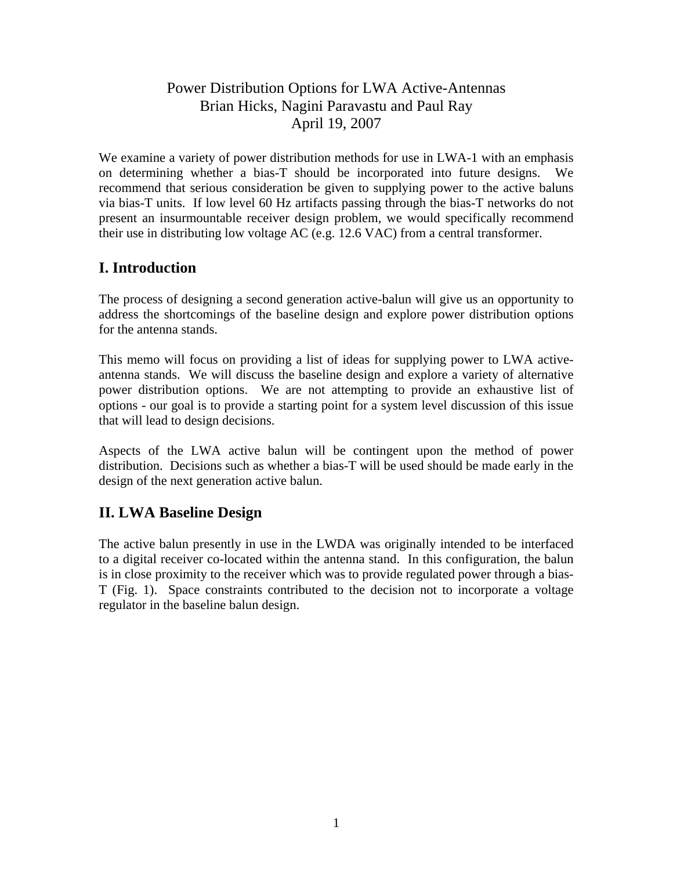# Power Distribution Options for LWA Active-Antennas Brian Hicks, Nagini Paravastu and Paul Ray April 19, 2007

We examine a variety of power distribution methods for use in LWA-1 with an emphasis on determining whether a bias-T should be incorporated into future designs. We recommend that serious consideration be given to supplying power to the active baluns via bias-T units. If low level 60 Hz artifacts passing through the bias-T networks do not present an insurmountable receiver design problem, we would specifically recommend their use in distributing low voltage AC (e.g. 12.6 VAC) from a central transformer.

# **I. Introduction**

The process of designing a second generation active-balun will give us an opportunity to address the shortcomings of the baseline design and explore power distribution options for the antenna stands.

This memo will focus on providing a list of ideas for supplying power to LWA activeantenna stands. We will discuss the baseline design and explore a variety of alternative power distribution options. We are not attempting to provide an exhaustive list of options - our goal is to provide a starting point for a system level discussion of this issue that will lead to design decisions.

Aspects of the LWA active balun will be contingent upon the method of power distribution. Decisions such as whether a bias-T will be used should be made early in the design of the next generation active balun.

# **II. LWA Baseline Design**

The active balun presently in use in the LWDA was originally intended to be interfaced to a digital receiver co-located within the antenna stand. In this configuration, the balun is in close proximity to the receiver which was to provide regulated power through a bias-T (Fig. 1). Space constraints contributed to the decision not to incorporate a voltage regulator in the baseline balun design.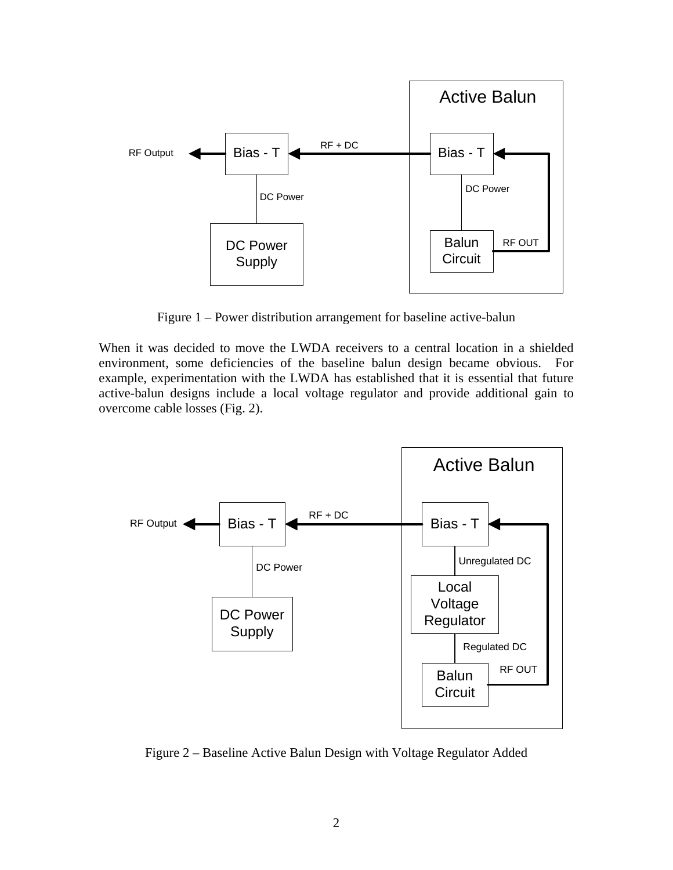

Figure 1 – Power distribution arrangement for baseline active-balun

When it was decided to move the LWDA receivers to a central location in a shielded environment, some deficiencies of the baseline balun design became obvious. For example, experimentation with the LWDA has established that it is essential that future active-balun designs include a local voltage regulator and provide additional gain to overcome cable losses (Fig. 2).



Figure 2 – Baseline Active Balun Design with Voltage Regulator Added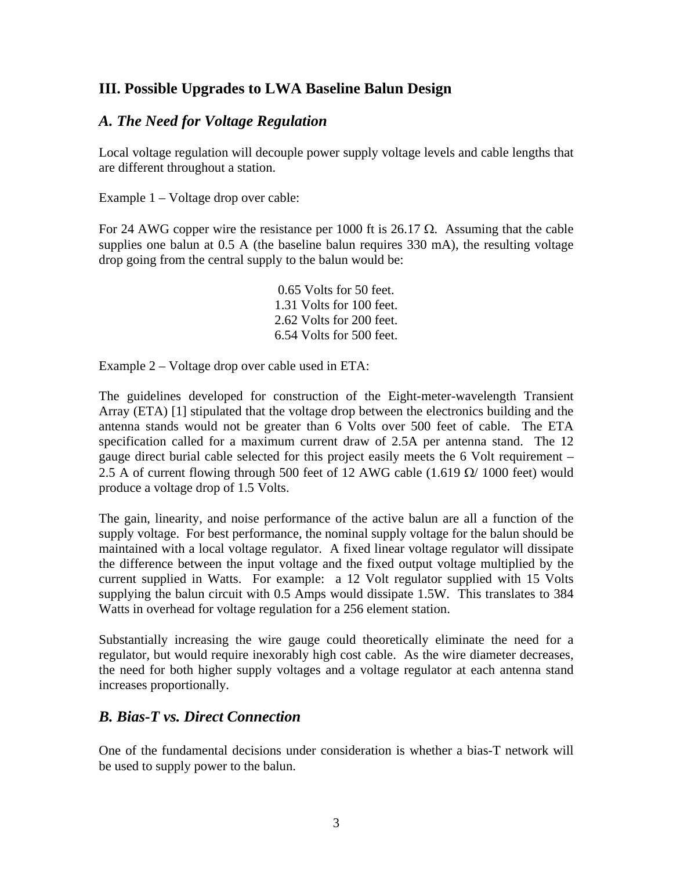## **III. Possible Upgrades to LWA Baseline Balun Design**

### *A. The Need for Voltage Regulation*

Local voltage regulation will decouple power supply voltage levels and cable lengths that are different throughout a station.

Example 1 – Voltage drop over cable:

For 24 AWG copper wire the resistance per 1000 ft is 26.17  $\Omega$ . Assuming that the cable supplies one balun at 0.5 A (the baseline balun requires 330 mA), the resulting voltage drop going from the central supply to the balun would be:

> 0.65 Volts for 50 feet. 1.31 Volts for 100 feet. 2.62 Volts for 200 feet. 6.54 Volts for 500 feet.

Example 2 – Voltage drop over cable used in ETA:

The guidelines developed for construction of the Eight-meter-wavelength Transient Array (ETA) [1] stipulated that the voltage drop between the electronics building and the antenna stands would not be greater than 6 Volts over 500 feet of cable. The ETA specification called for a maximum current draw of 2.5A per antenna stand. The 12 gauge direct burial cable selected for this project easily meets the 6 Volt requirement – 2.5 A of current flowing through 500 feet of 12 AWG cable (1.619  $\Omega$ / 1000 feet) would produce a voltage drop of 1.5 Volts.

The gain, linearity, and noise performance of the active balun are all a function of the supply voltage. For best performance, the nominal supply voltage for the balun should be maintained with a local voltage regulator. A fixed linear voltage regulator will dissipate the difference between the input voltage and the fixed output voltage multiplied by the current supplied in Watts. For example: a 12 Volt regulator supplied with 15 Volts supplying the balun circuit with 0.5 Amps would dissipate 1.5W. This translates to 384 Watts in overhead for voltage regulation for a 256 element station.

Substantially increasing the wire gauge could theoretically eliminate the need for a regulator, but would require inexorably high cost cable. As the wire diameter decreases, the need for both higher supply voltages and a voltage regulator at each antenna stand increases proportionally.

### *B. Bias-T vs. Direct Connection*

One of the fundamental decisions under consideration is whether a bias-T network will be used to supply power to the balun.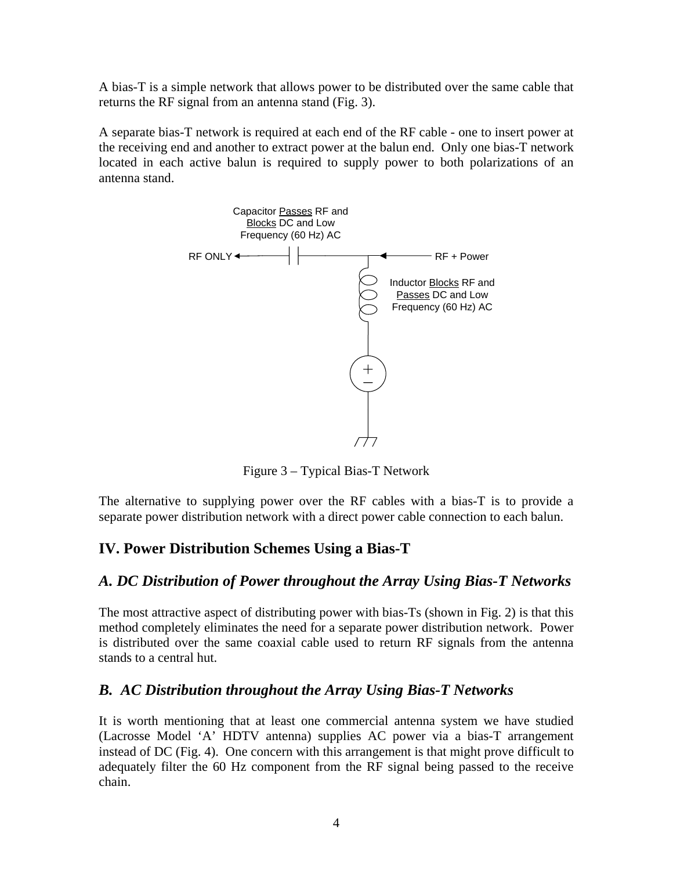A bias-T is a simple network that allows power to be distributed over the same cable that returns the RF signal from an antenna stand (Fig. 3).

A separate bias-T network is required at each end of the RF cable - one to insert power at the receiving end and another to extract power at the balun end. Only one bias-T network located in each active balun is required to supply power to both polarizations of an antenna stand.



Figure 3 – Typical Bias-T Network

The alternative to supplying power over the RF cables with a bias-T is to provide a separate power distribution network with a direct power cable connection to each balun.

# **IV. Power Distribution Schemes Using a Bias-T**

### *A. DC Distribution of Power throughout the Array Using Bias-T Networks*

The most attractive aspect of distributing power with bias-Ts (shown in Fig. 2) is that this method completely eliminates the need for a separate power distribution network. Power is distributed over the same coaxial cable used to return RF signals from the antenna stands to a central hut.

### *B. AC Distribution throughout the Array Using Bias-T Networks*

It is worth mentioning that at least one commercial antenna system we have studied (Lacrosse Model 'A' HDTV antenna) supplies AC power via a bias-T arrangement instead of DC (Fig. 4). One concern with this arrangement is that might prove difficult to adequately filter the 60 Hz component from the RF signal being passed to the receive chain.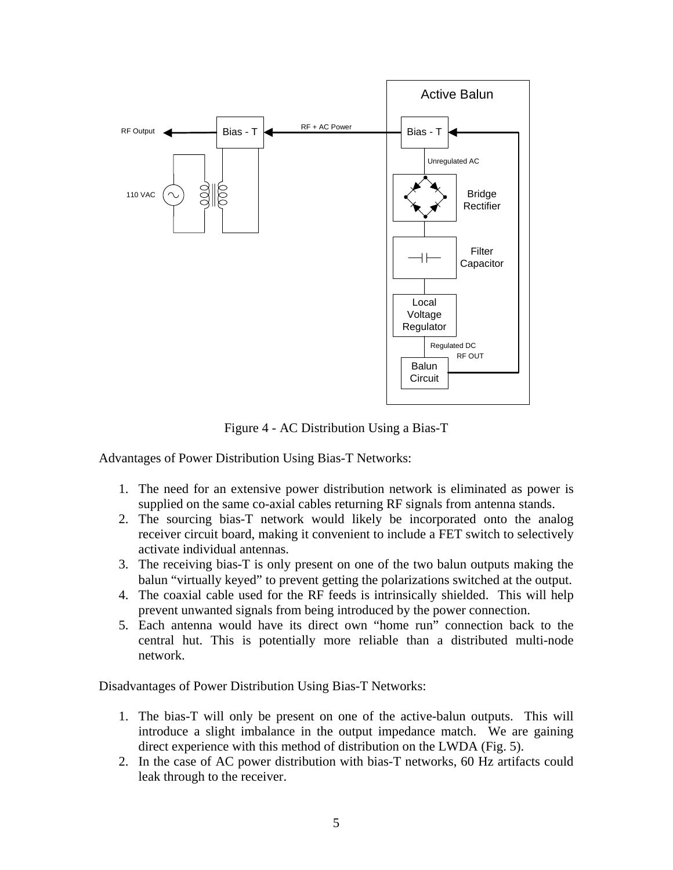

Figure 4 - AC Distribution Using a Bias-T

Advantages of Power Distribution Using Bias-T Networks:

- 1. The need for an extensive power distribution network is eliminated as power is supplied on the same co-axial cables returning RF signals from antenna stands.
- 2. The sourcing bias-T network would likely be incorporated onto the analog receiver circuit board, making it convenient to include a FET switch to selectively activate individual antennas.
- 3. The receiving bias-T is only present on one of the two balun outputs making the balun "virtually keyed" to prevent getting the polarizations switched at the output.
- 4. The coaxial cable used for the RF feeds is intrinsically shielded. This will help prevent unwanted signals from being introduced by the power connection.
- 5. Each antenna would have its direct own "home run" connection back to the central hut. This is potentially more reliable than a distributed multi-node network.

Disadvantages of Power Distribution Using Bias-T Networks:

- 1. The bias-T will only be present on one of the active-balun outputs. This will introduce a slight imbalance in the output impedance match. We are gaining direct experience with this method of distribution on the LWDA (Fig. 5).
- 2. In the case of AC power distribution with bias-T networks, 60 Hz artifacts could leak through to the receiver.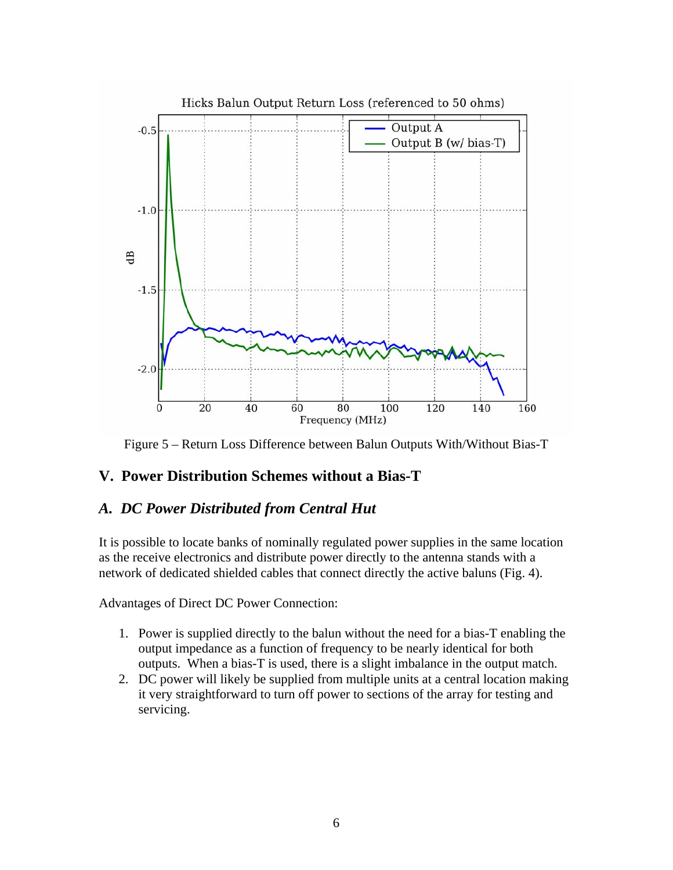

Figure 5 – Return Loss Difference between Balun Outputs With/Without Bias-T

### **V. Power Distribution Schemes without a Bias-T**

### *A. DC Power Distributed from Central Hut*

It is possible to locate banks of nominally regulated power supplies in the same location as the receive electronics and distribute power directly to the antenna stands with a network of dedicated shielded cables that connect directly the active baluns (Fig. 4).

Advantages of Direct DC Power Connection:

- 1. Power is supplied directly to the balun without the need for a bias-T enabling the output impedance as a function of frequency to be nearly identical for both outputs. When a bias-T is used, there is a slight imbalance in the output match.
- 2. DC power will likely be supplied from multiple units at a central location making it very straightforward to turn off power to sections of the array for testing and servicing.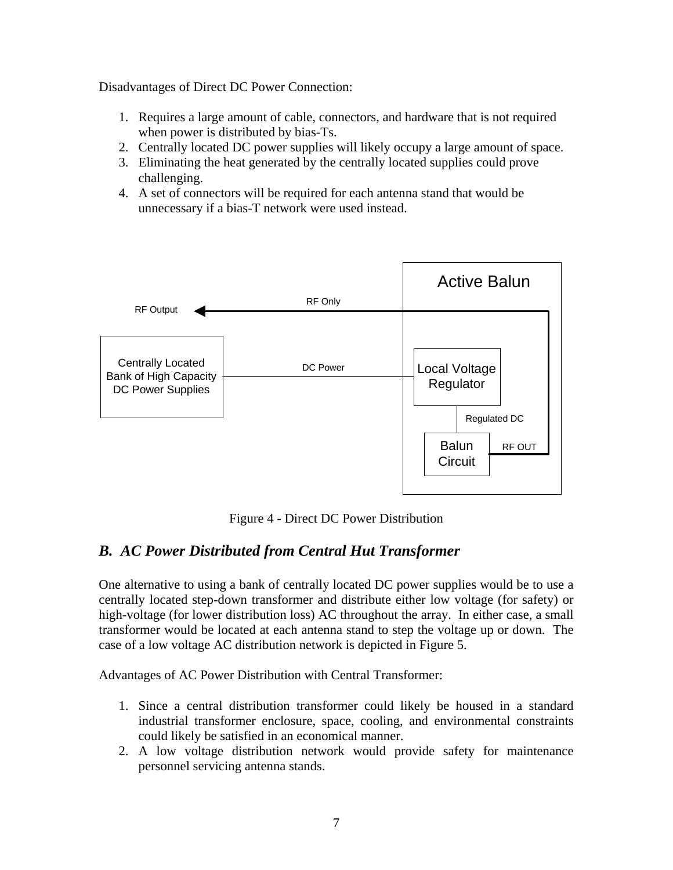Disadvantages of Direct DC Power Connection:

- 1. Requires a large amount of cable, connectors, and hardware that is not required when power is distributed by bias-Ts.
- 2. Centrally located DC power supplies will likely occupy a large amount of space.
- 3. Eliminating the heat generated by the centrally located supplies could prove challenging.
- 4. A set of connectors will be required for each antenna stand that would be unnecessary if a bias-T network were used instead.



Figure 4 - Direct DC Power Distribution

# *B. AC Power Distributed from Central Hut Transformer*

One alternative to using a bank of centrally located DC power supplies would be to use a centrally located step-down transformer and distribute either low voltage (for safety) or high-voltage (for lower distribution loss) AC throughout the array. In either case, a small transformer would be located at each antenna stand to step the voltage up or down. The case of a low voltage AC distribution network is depicted in Figure 5.

Advantages of AC Power Distribution with Central Transformer:

- 1. Since a central distribution transformer could likely be housed in a standard industrial transformer enclosure, space, cooling, and environmental constraints could likely be satisfied in an economical manner.
- 2. A low voltage distribution network would provide safety for maintenance personnel servicing antenna stands.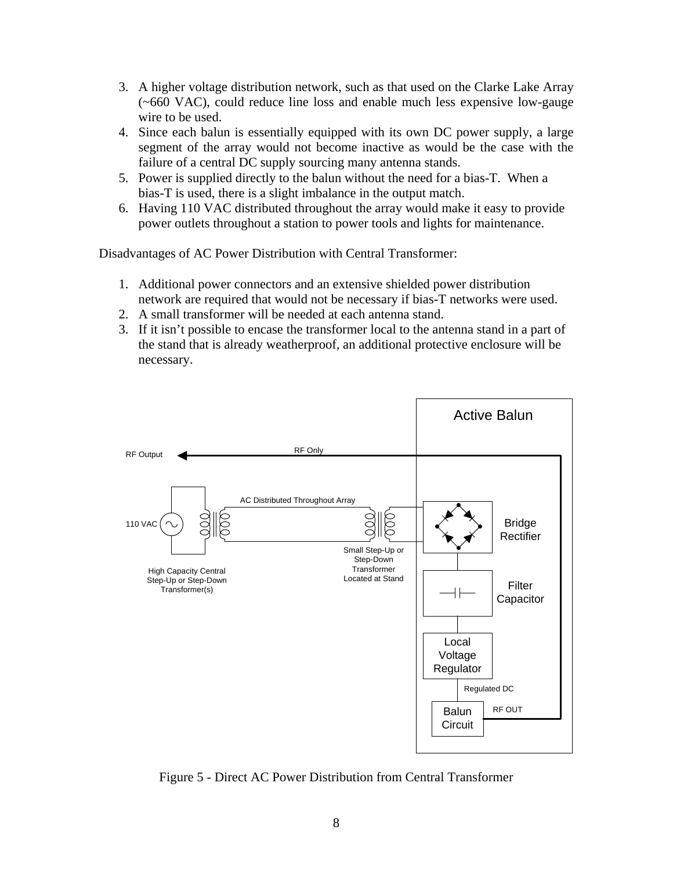- 3. A higher voltage distribution network, such as that used on the Clarke Lake Array (~660 VAC), could reduce line loss and enable much less expensive low-gauge wire to be used.
- 4. Since each balun is essentially equipped with its own DC power supply, a large segment of the array would not become inactive as would be the case with the failure of a central DC supply sourcing many antenna stands.
- 5. Power is supplied directly to the balun without the need for a bias-T. When a bias-T is used, there is a slight imbalance in the output match.
- 6. Having 110 VAC distributed throughout the array would make it easy to provide power outlets throughout a station to power tools and lights for maintenance.

Disadvantages of AC Power Distribution with Central Transformer:

- 1. Additional power connectors and an extensive shielded power distribution network are required that would not be necessary if bias-T networks were used.
- 2. A small transformer will be needed at each antenna stand.
- 3. If it isn't possible to encase the transformer local to the antenna stand in a part of the stand that is already weatherproof, an additional protective enclosure will be necessary.



Figure 5 - Direct AC Power Distribution from Central Transformer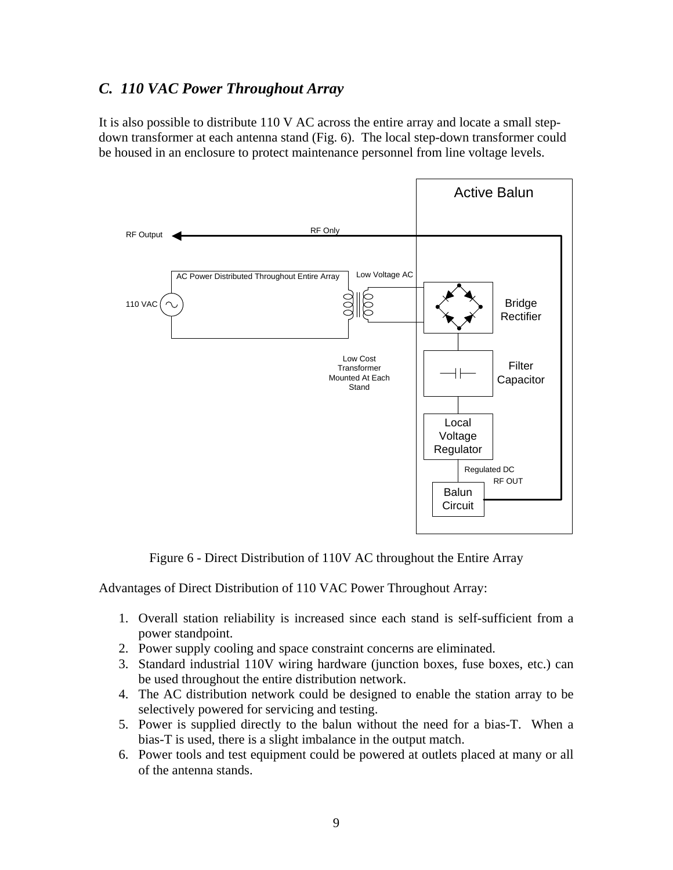### *C. 110 VAC Power Throughout Array*

It is also possible to distribute 110 V AC across the entire array and locate a small stepdown transformer at each antenna stand (Fig. 6). The local step-down transformer could be housed in an enclosure to protect maintenance personnel from line voltage levels.



Figure 6 - Direct Distribution of 110V AC throughout the Entire Array

Advantages of Direct Distribution of 110 VAC Power Throughout Array:

- 1. Overall station reliability is increased since each stand is self-sufficient from a power standpoint.
- 2. Power supply cooling and space constraint concerns are eliminated.
- 3. Standard industrial 110V wiring hardware (junction boxes, fuse boxes, etc.) can be used throughout the entire distribution network.
- 4. The AC distribution network could be designed to enable the station array to be selectively powered for servicing and testing.
- 5. Power is supplied directly to the balun without the need for a bias-T. When a bias-T is used, there is a slight imbalance in the output match.
- 6. Power tools and test equipment could be powered at outlets placed at many or all of the antenna stands.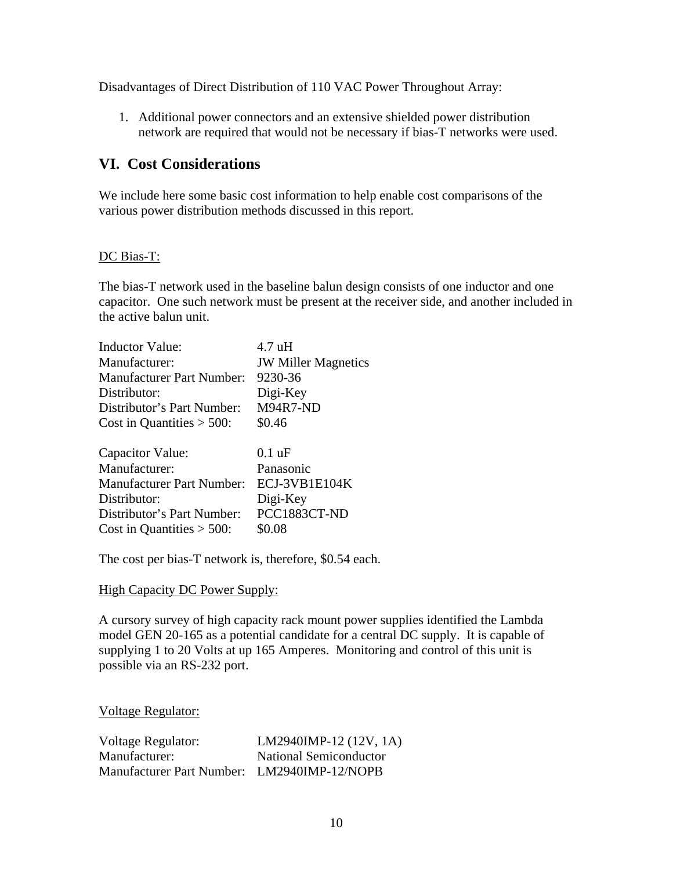Disadvantages of Direct Distribution of 110 VAC Power Throughout Array:

1. Additional power connectors and an extensive shielded power distribution network are required that would not be necessary if bias-T networks were used.

## **VI. Cost Considerations**

We include here some basic cost information to help enable cost comparisons of the various power distribution methods discussed in this report.

#### DC Bias-T:

The bias-T network used in the baseline balun design consists of one inductor and one capacitor. One such network must be present at the receiver side, and another included in the active balun unit.

| <b>Inductor Value:</b>           | $4.7 \text{ uH}$           |
|----------------------------------|----------------------------|
| Manufacturer:                    | <b>JW Miller Magnetics</b> |
| <b>Manufacturer Part Number:</b> | 9230-36                    |
| Distributor:                     | Digi-Key                   |
| Distributor's Part Number:       | <b>M94R7-ND</b>            |
| Cost in Quantities $>$ 500:      | \$0.46                     |
| Capacitor Value:                 | $0.1 \text{ uF}$           |
| Manufacturer:                    | Panasonic                  |
| <b>Manufacturer Part Number:</b> | ECJ-3VB1E104K              |
| Distributor:                     | Digi-Key                   |
| Distributor's Part Number:       | PCC1883CT-ND               |
| Cost in Quantities $>$ 500:      | \$0.08                     |

The cost per bias-T network is, therefore, \$0.54 each.

#### High Capacity DC Power Supply:

A cursory survey of high capacity rack mount power supplies identified the Lambda model GEN 20-165 as a potential candidate for a central DC supply. It is capable of supplying 1 to 20 Volts at up 165 Amperes. Monitoring and control of this unit is possible via an RS-232 port.

#### Voltage Regulator:

| Voltage Regulator:                          | $LM2940IMP-12(12V, 1A)$ |
|---------------------------------------------|-------------------------|
| Manufacturer:                               | National Semiconductor  |
| Manufacturer Part Number: LM2940IMP-12/NOPB |                         |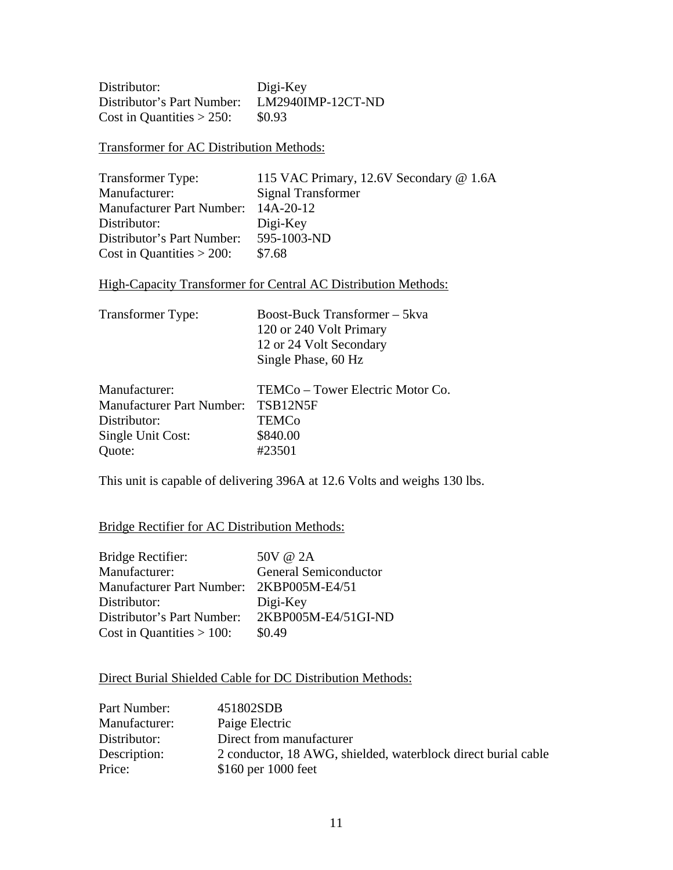Distributor: Digi-Key Distributor's Part Number: LM2940IMP-12CT-ND Cost in Quantities  $> 250$ : \$0.93

Transformer for AC Distribution Methods:

Transformer Type: 115 VAC Primary, 12.6V Secondary @ 1.6A Manufacturer: Signal Transformer Manufacturer Part Number: 14A-20-12 Distributor: Digi-Key Distributor's Part Number: 595-1003-ND Cost in Quantities  $> 200$ : \$7.68

High-Capacity Transformer for Central AC Distribution Methods:

| <b>Transformer Type:</b>         | Boost-Buck Transformer - 5kva    |  |  |
|----------------------------------|----------------------------------|--|--|
|                                  | 120 or 240 Volt Primary          |  |  |
|                                  | 12 or 24 Volt Secondary          |  |  |
|                                  | Single Phase, 60 Hz              |  |  |
| Manufacturer:                    | TEMCo – Tower Electric Motor Co. |  |  |
| <b>Manufacturer Part Number:</b> | TSB12N5F                         |  |  |
| Distributor:                     | <b>TEMCo</b>                     |  |  |
| Single Unit Cost:                | \$840.00                         |  |  |
| Quote:                           | #23501                           |  |  |

This unit is capable of delivering 396A at 12.6 Volts and weighs 130 lbs.

#### Bridge Rectifier for AC Distribution Methods:

| Bridge Rectifier:                        | 50V @ 2A                     |
|------------------------------------------|------------------------------|
| Manufacturer:                            | <b>General Semiconductor</b> |
| Manufacturer Part Number: 2KBP005M-E4/51 |                              |
| Distributor:                             | Digi-Key                     |
| Distributor's Part Number:               | 2KBP005M-E4/51GI-ND          |
| Cost in Quantities $> 100$ :             | \$0.49                       |

#### Direct Burial Shielded Cable for DC Distribution Methods:

| Part Number:  | 451802SDB                                                     |
|---------------|---------------------------------------------------------------|
| Manufacturer: | Paige Electric                                                |
| Distributor:  | Direct from manufacturer                                      |
| Description:  | 2 conductor, 18 AWG, shielded, waterblock direct burial cable |
| Price:        | \$160 per 1000 feet                                           |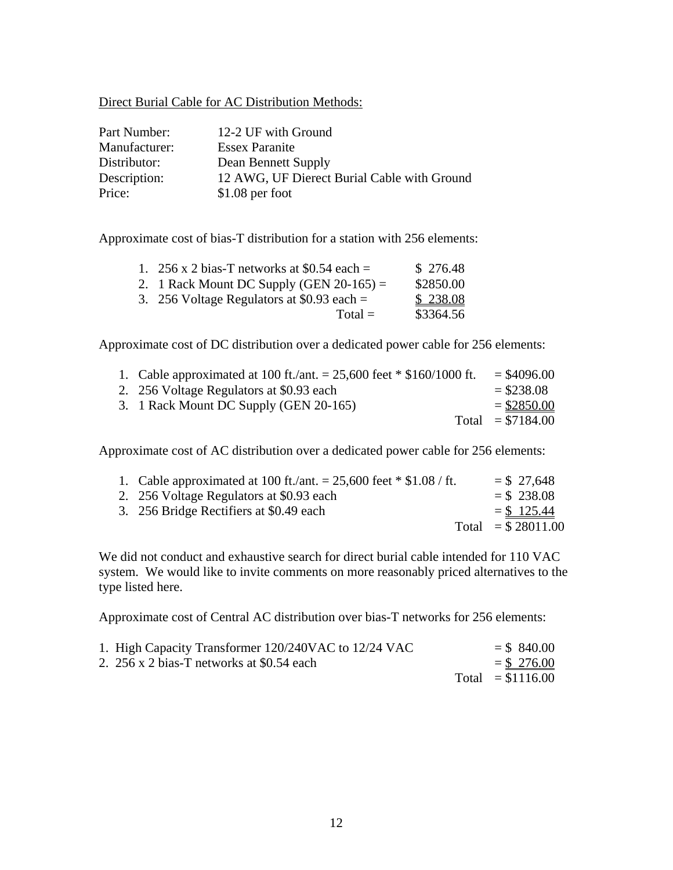#### Direct Burial Cable for AC Distribution Methods:

| Part Number:  | 12-2 UF with Ground                         |
|---------------|---------------------------------------------|
| Manufacturer: | <b>Essex Paranite</b>                       |
| Distributor:  | Dean Bennett Supply                         |
| Description:  | 12 AWG, UF Dierect Burial Cable with Ground |
| Price:        | $$1.08$ per foot                            |

Approximate cost of bias-T distribution for a station with 256 elements:

| 1. 256 x 2 bias-T networks at \$0.54 each =  | \$276.48  |
|----------------------------------------------|-----------|
| 2. 1 Rack Mount DC Supply (GEN $20-165$ ) =  | \$2850.00 |
| 3. 256 Voltage Regulators at \$0.93 each $=$ | \$238.08  |
| $Total =$                                    | \$3364.56 |

Approximate cost of DC distribution over a dedicated power cable for 256 elements:

|  | 1. Cable approximated at 100 ft./ant. = $25,600$ feet * \$160/1000 ft. | $=$ \$4096.00      |
|--|------------------------------------------------------------------------|--------------------|
|  | 2. 256 Voltage Regulators at \$0.93 each                               | $= $238.08$        |
|  | 3. 1 Rack Mount DC Supply (GEN 20-165)                                 | $=$ \$2850.00      |
|  |                                                                        | Total $= $7184.00$ |
|  |                                                                        |                    |

Approximate cost of AC distribution over a dedicated power cable for 256 elements:

| 1. Cable approximated at 100 ft./ant. = $25,600$ feet $\frac{*}{1.08}$ ft. | $=$ \$27,648        |
|----------------------------------------------------------------------------|---------------------|
| 2. 256 Voltage Regulators at \$0.93 each                                   | $=$ \$238.08        |
| 3. 256 Bridge Rectifiers at \$0.49 each                                    | $=$ \$ 125.44       |
|                                                                            | Total = $$28011.00$ |

We did not conduct and exhaustive search for direct burial cable intended for 110 VAC system. We would like to invite comments on more reasonably priced alternatives to the type listed here.

Approximate cost of Central AC distribution over bias-T networks for 256 elements:

| 1. High Capacity Transformer 120/240VAC to 12/24 VAC | $=$ \$ 840.00      |
|------------------------------------------------------|--------------------|
| 2. 256 x 2 bias-T networks at \$0.54 each            | $=$ \$ 276.00      |
|                                                      | Total $= $1116.00$ |